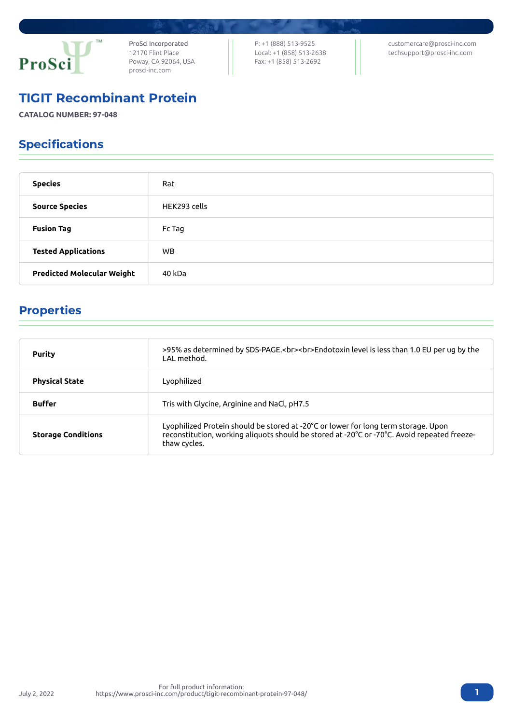

ProSci Incorporated 12170 Flint Place Poway, CA 92064, USA [prosci-inc.com](https://prosci-inc.com/)

P: +1 (888) 513-9525 Local: +1 (858) 513-2638 Fax: +1 (858) 513-2692

[customercare@prosci-inc.com](mailto:customercare@prosci-inc.com) [techsupport@prosci-inc.com](mailto:techsupport@prosci-inc.com)

### TIGIT Recombinant Protein

**CATALOG NUMBER: 97-048**

# Specifications

| <b>Species</b>                    | Rat          |
|-----------------------------------|--------------|
| <b>Source Species</b>             | HEK293 cells |
| <b>Fusion Tag</b>                 | Fc Tag       |
| <b>Tested Applications</b>        | WB.          |
| <b>Predicted Molecular Weight</b> | 40 kDa       |

# Properties

| <b>Purity</b>             | >95% as determined by SDS-PAGE.<br><br>>>Endotoxin level is less than 1.0 EU per ug by the<br>LAL method.                                                                                         |
|---------------------------|---------------------------------------------------------------------------------------------------------------------------------------------------------------------------------------------------|
| <b>Physical State</b>     | Lyophilized                                                                                                                                                                                       |
| <b>Buffer</b>             | Tris with Glycine, Arginine and NaCl, pH7.5                                                                                                                                                       |
| <b>Storage Conditions</b> | Lyophilized Protein should be stored at -20°C or lower for long term storage. Upon<br>reconstitution, working aliquots should be stored at -20°C or -70°C. Avoid repeated freeze-<br>thaw cycles. |